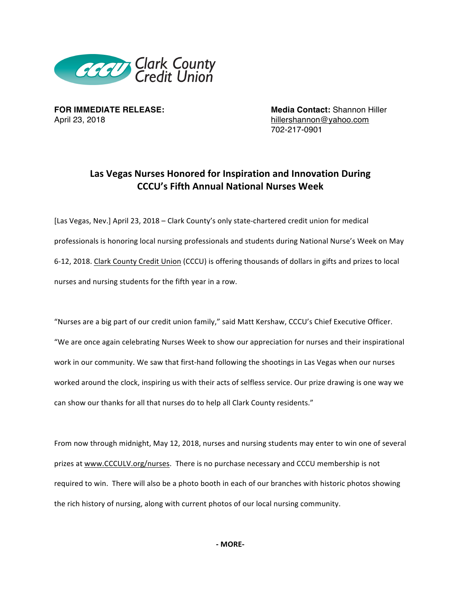

April 23, 2018 **hillershannon@yahoo.com** 

**FOR IMMEDIATE RELEASE: Media Contact:** Shannon Hiller 702-217-0901

## **Las Vegas Nurses Honored for Inspiration and Innovation During CCCU's Fifth Annual National Nurses Week**

[Las Vegas, Nev.] April 23, 2018 – Clark County's only state-chartered credit union for medical professionals is honoring local nursing professionals and students during National Nurse's Week on May 6-12, 2018. Clark County Credit Union (CCCU) is offering thousands of dollars in gifts and prizes to local nurses and nursing students for the fifth year in a row.

"Nurses are a big part of our credit union family," said Matt Kershaw, CCCU's Chief Executive Officer. "We are once again celebrating Nurses Week to show our appreciation for nurses and their inspirational work in our community. We saw that first-hand following the shootings in Las Vegas when our nurses worked around the clock, inspiring us with their acts of selfless service. Our prize drawing is one way we can show our thanks for all that nurses do to help all Clark County residents."

From now through midnight, May 12, 2018, nurses and nursing students may enter to win one of several prizes at www.CCCULV.org/nurses. There is no purchase necessary and CCCU membership is not required to win. There will also be a photo booth in each of our branches with historic photos showing the rich history of nursing, along with current photos of our local nursing community.